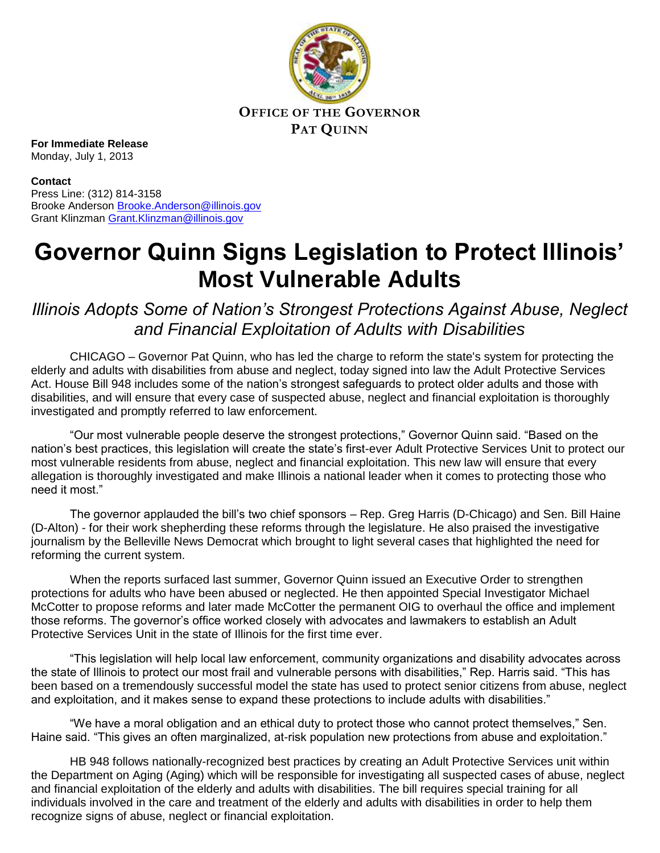

**OFFICE OF THE GOVERNOR PAT QUINN**

**For Immediate Release** Monday, July 1, 2013

**Contact** Press Line: (312) 814-3158 Brooke Anderson [Brooke.Anderson@illinois.gov](mailto:Brooke.Anderson@illinois.gov) Grant Klinzman [Grant.Klinzman@illinois.gov](mailto:Grant.Klinzman@illinois.gov)

## **Governor Quinn Signs Legislation to Protect Illinois' Most Vulnerable Adults**

*Illinois Adopts Some of Nation's Strongest Protections Against Abuse, Neglect and Financial Exploitation of Adults with Disabilities* 

CHICAGO – Governor Pat Quinn, who has led the charge to reform the state's system for protecting the elderly and adults with disabilities from abuse and neglect, today signed into law the Adult Protective Services Act. House Bill 948 includes some of the nation's strongest safeguards to protect older adults and those with disabilities, and will ensure that every case of suspected abuse, neglect and financial exploitation is thoroughly investigated and promptly referred to law enforcement.

"Our most vulnerable people deserve the strongest protections," Governor Quinn said. "Based on the nation's best practices, this legislation will create the state's first-ever Adult Protective Services Unit to protect our most vulnerable residents from abuse, neglect and financial exploitation. This new law will ensure that every allegation is thoroughly investigated and make Illinois a national leader when it comes to protecting those who need it most."

The governor applauded the bill's two chief sponsors – Rep. Greg Harris (D-Chicago) and Sen. Bill Haine (D-Alton) - for their work shepherding these reforms through the legislature. He also praised the investigative journalism by the Belleville News Democrat which brought to light several cases that highlighted the need for reforming the current system.

When the reports surfaced last summer, Governor Quinn issued an Executive Order to strengthen protections for adults who have been abused or neglected. He then appointed Special Investigator Michael McCotter to propose reforms and later made McCotter the permanent OIG to overhaul the office and implement those reforms. The governor's office worked closely with advocates and lawmakers to establish an Adult Protective Services Unit in the state of Illinois for the first time ever.

"This legislation will help local law enforcement, community organizations and disability advocates across the state of Illinois to protect our most frail and vulnerable persons with disabilities," Rep. Harris said. "This has been based on a tremendously successful model the state has used to protect senior citizens from abuse, neglect and exploitation, and it makes sense to expand these protections to include adults with disabilities."

"We have a moral obligation and an ethical duty to protect those who cannot protect themselves," Sen. Haine said. "This gives an often marginalized, at-risk population new protections from abuse and exploitation."

HB 948 follows nationally-recognized best practices by creating an Adult Protective Services unit within the Department on Aging (Aging) which will be responsible for investigating all suspected cases of abuse, neglect and financial exploitation of the elderly and adults with disabilities. The bill requires special training for all individuals involved in the care and treatment of the elderly and adults with disabilities in order to help them recognize signs of abuse, neglect or financial exploitation.